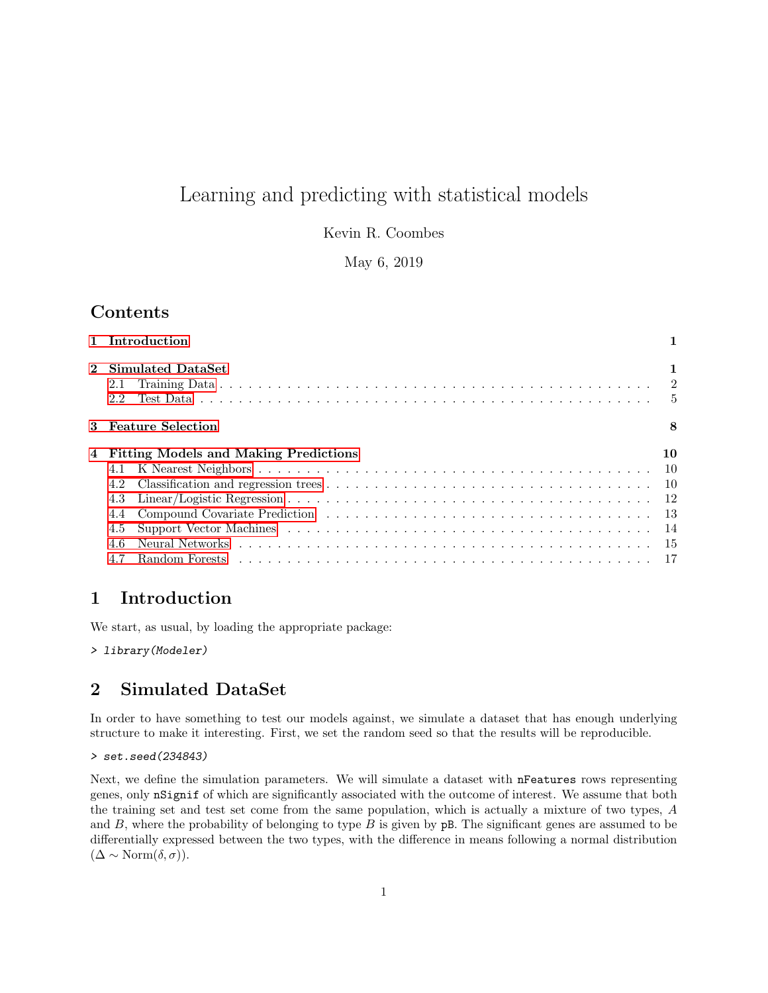# Learning and predicting with statistical models

Kevin R. Coombes

May 6, 2019

# Contents

|                | 1 Introduction                                                                                                                                                                                                                                            |    |
|----------------|-----------------------------------------------------------------------------------------------------------------------------------------------------------------------------------------------------------------------------------------------------------|----|
| $\mathbf{2}$   | Simulated DataSet<br>2.1<br>2.2                                                                                                                                                                                                                           |    |
|                | 3 Feature Selection                                                                                                                                                                                                                                       | 8  |
| $\overline{4}$ | <b>Fitting Models and Making Predictions</b><br>4.1<br>4.2                                                                                                                                                                                                | 10 |
|                | 4.3<br>4.4<br>Support Vector Machines (a) and a contract of the contract of the contract of the contract of the contract of the contract of the contract of the contract of the contract of the contract of the contract of the contract of<br>4.5<br>4.6 |    |

# <span id="page-0-0"></span>1 Introduction

We start, as usual, by loading the appropriate package:

> library(Modeler)

# <span id="page-0-1"></span>2 Simulated DataSet

In order to have something to test our models against, we simulate a dataset that has enough underlying structure to make it interesting. First, we set the random seed so that the results will be reproducible.

```
> set.seed(234843)
```
Next, we define the simulation parameters. We will simulate a dataset with nFeatures rows representing genes, only nSignif of which are significantly associated with the outcome of interest. We assume that both the training set and test set come from the same population, which is actually a mixture of two types, A and  $B$ , where the probability of belonging to type  $B$  is given by  $p$ B. The significant genes are assumed to be differentially expressed between the two types, with the difference in means following a normal distribution  $(\Delta \sim \text{Norm}(\delta, \sigma)).$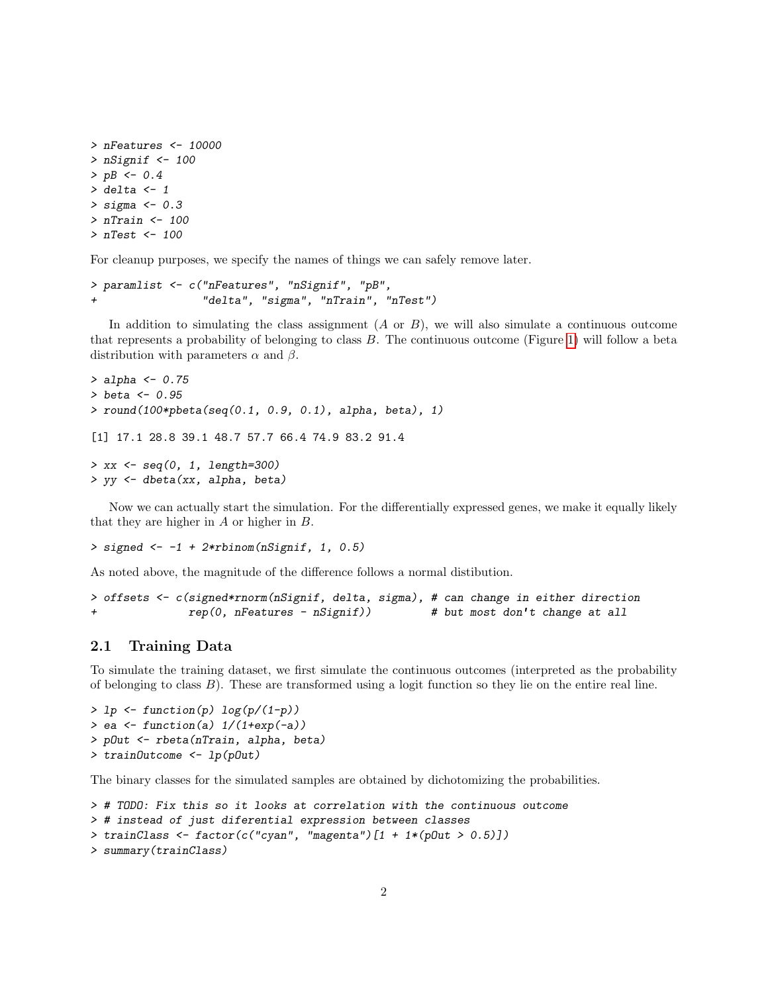```
> nFeatures <- 10000
> nSignif <-100> pB <- 0.4
> delta <-1> sigma <-0.3> nTrain <- 100
> nTest <- 100
```
For cleanup purposes, we specify the names of things we can safely remove later.

```
> paramlist <- c("nFeatures", "nSignif", "pB",
+ "delta", "sigma", "nTrain", "nTest")
```
In addition to simulating the class assignment  $(A \text{ or } B)$ , we will also simulate a continuous outcome that represents a probability of belonging to class  $B$ . The continuous outcome (Figure [1\)](#page-2-0) will follow a beta distribution with parameters  $\alpha$  and  $\beta$ .

```
> alpha <- 0.75
> beta <- 0.95
> round(100*pbeta(seq(0.1, 0.9, 0.1), alpha, beta), 1)
[1] 17.1 28.8 39.1 48.7 57.7 66.4 74.9 83.2 91.4
> xx < - seg(0, 1, length=300)> yy <- dbeta(xx, alpha, beta)
```
Now we can actually start the simulation. For the differentially expressed genes, we make it equally likely that they are higher in A or higher in B.

```
> signed <-1 + 2*rbinom(nSignif, 1, 0.5)
```
As noted above, the magnitude of the difference follows a normal distibution.

```
> offsets <- c(signed*rnorm(nSignif, delta, sigma), # can change in either direction
+ rep(0, nFeatures - nSignif)) # but most don't change at all
```
#### <span id="page-1-0"></span>2.1 Training Data

To simulate the training dataset, we first simulate the continuous outcomes (interpreted as the probability of belonging to class  $B$ ). These are transformed using a logit function so they lie on the entire real line.

```
> lp \leftarrow function(p) log(p/(1-p))> ea <- function(a) 1/(1+\exp(-a))> pOut <- rbeta(nTrain, alpha, beta)
> trainOutcome <- lp(pOut)
```
The binary classes for the simulated samples are obtained by dichotomizing the probabilities.

```
> # TODO: Fix this so it looks at correlation with the continuous outcome
> # instead of just diferential expression between classes
> trainClass <- factor(c("cyan", "magenta")[1 + 1*(pOut > 0.5)])
> summary(trainClass)
```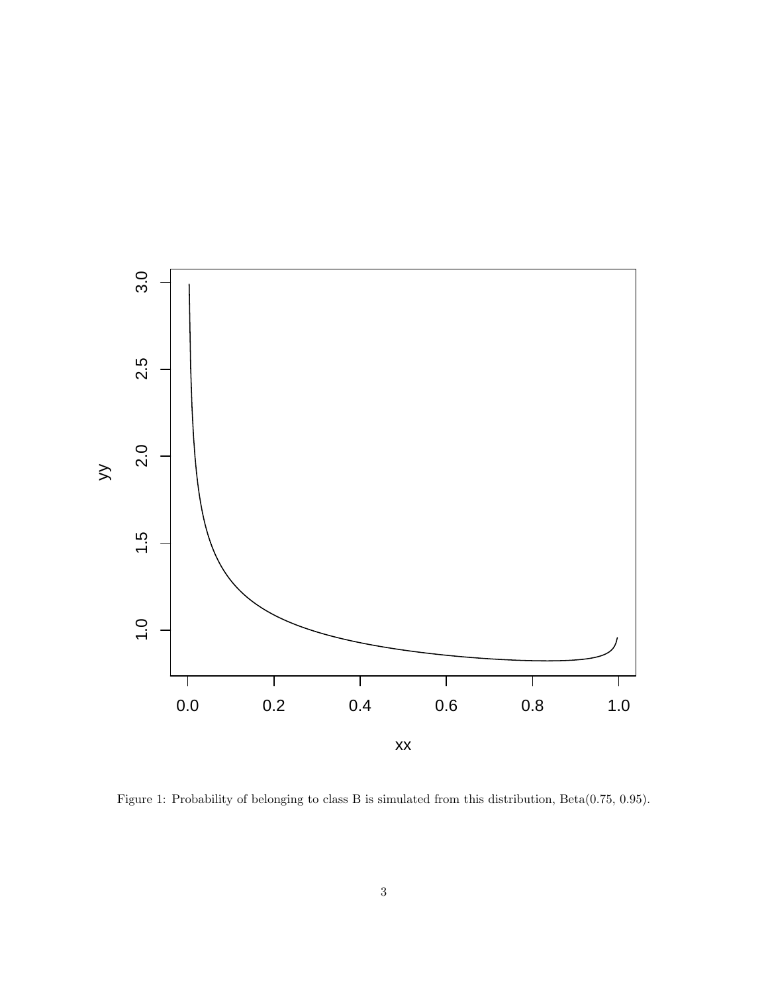

<span id="page-2-0"></span>Figure 1: Probability of belonging to class B is simulated from this distribution, Beta(0.75, 0.95).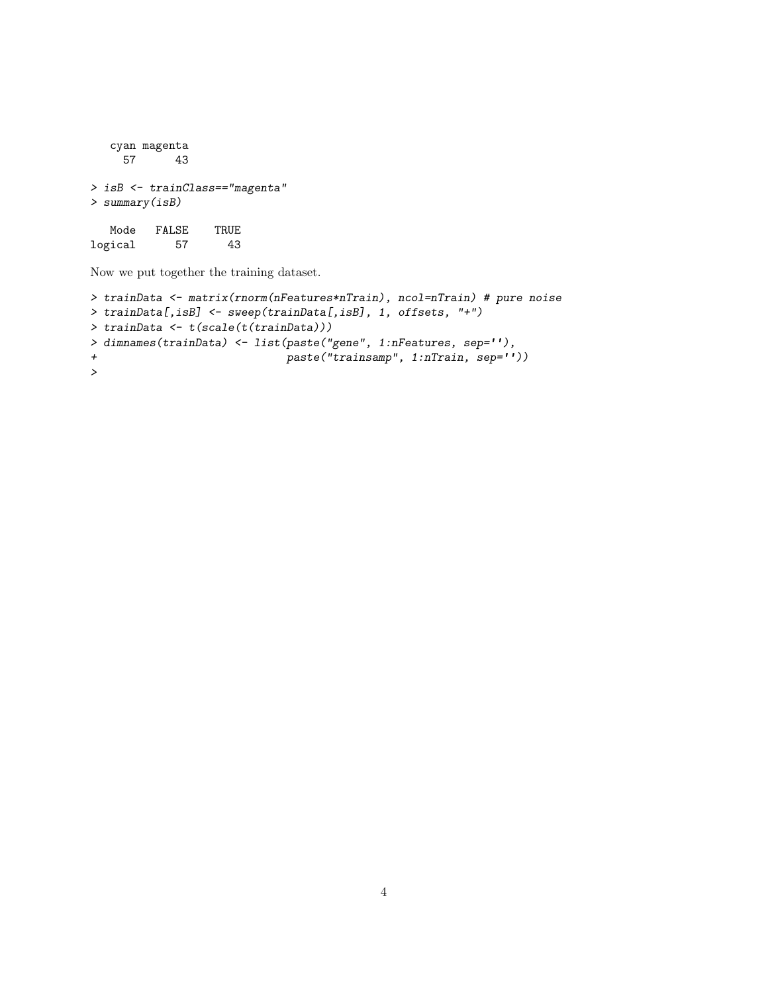```
cyan magenta
    57 43
> isB <- trainClass=="magenta"
> summary(isB)
  Mode FALSE TRUE
```
logical 57 43

Now we put together the training dataset.

```
> trainData <- matrix(rnorm(nFeatures*nTrain), ncol=nTrain) # pure noise
> trainData[,isB] <- sweep(trainData[,isB], 1, offsets, "+")
> trainData <- t(scale(t(trainData)))
> dimnames(trainData) <- list(paste("gene", 1:nFeatures, sep=''),
+ paste("trainsamp", 1:nTrain, sep=''))
>
```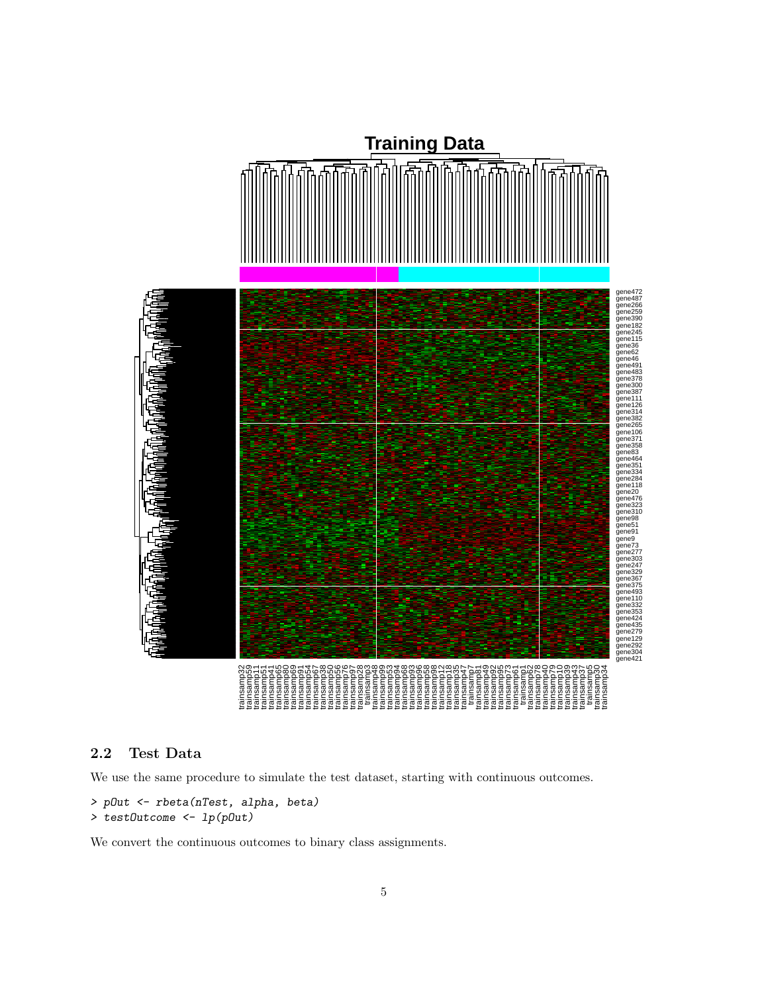

#### <span id="page-4-0"></span>2.2 Test Data

We use the same procedure to simulate the test dataset, starting with continuous outcomes.

```
> pOut <- rbeta(nTest, alpha, beta)
> testOutcome <- lp(pOut)
```
We convert the continuous outcomes to binary class assignments.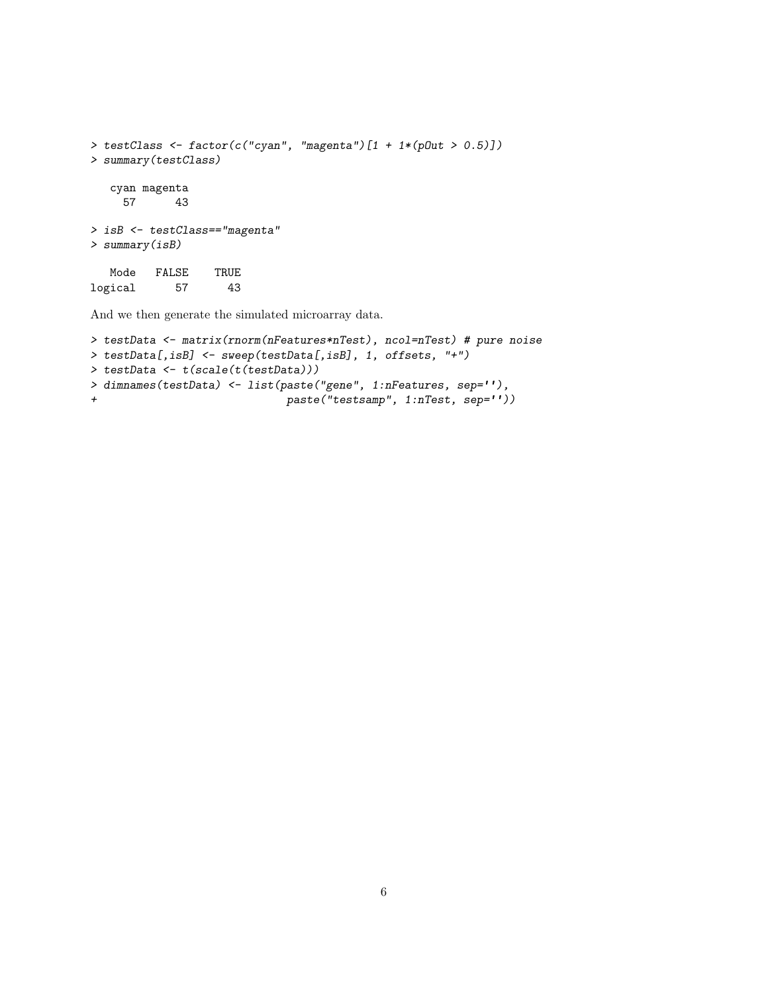```
> testClass <- factor(c("cyan", "magenta")[1 + 1*(pOut > 0.5)])
> summary(testClass)
  cyan magenta
    57 43
> isB <- testClass=="magenta"
> summary(isB)
  Mode FALSE TRUE
logical 57 43
```
And we then generate the simulated microarray data.

```
> testData <- matrix(rnorm(nFeatures*nTest), ncol=nTest) # pure noise
> testData[,isB] <- sweep(testData[,isB], 1, offsets, "+")
> testData <- t(scale(t(testData)))
> dimnames(testData) <- list(paste("gene", 1:nFeatures, sep=''),
+ paste("testsamp", 1:nTest, sep=''))
```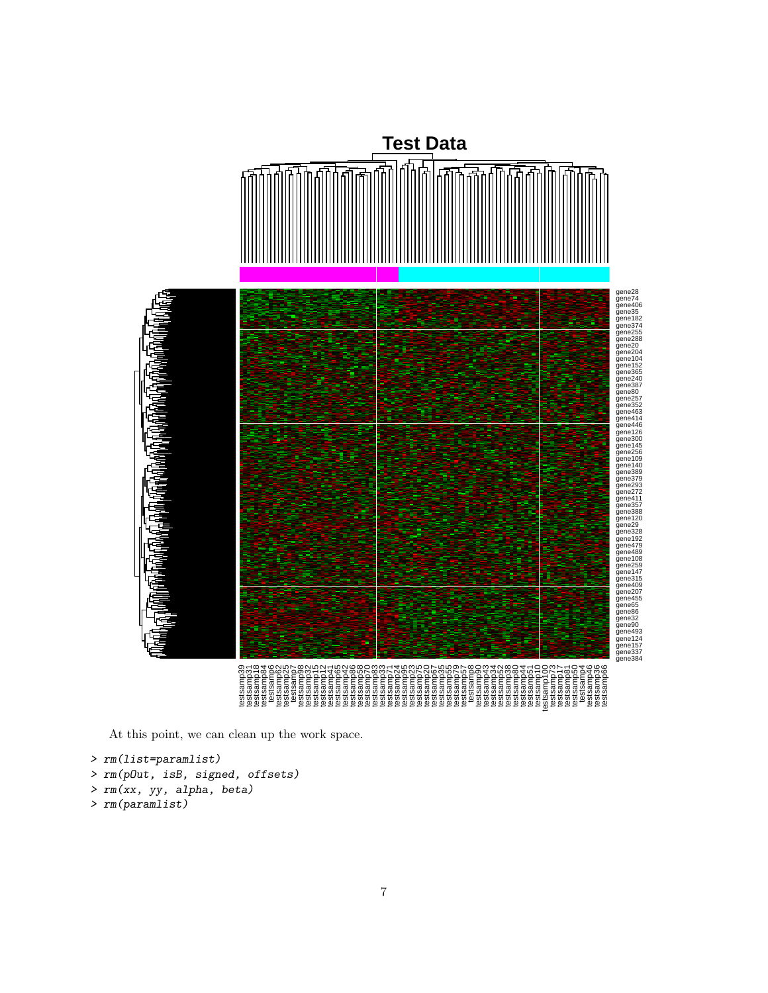

At this point, we can clean up the work space.

```
> rm(list=paramlist)
> rm(pOut, isB, signed, offsets)
> rm(xx, yy, alpha, beta)
> rm(paramlist)
```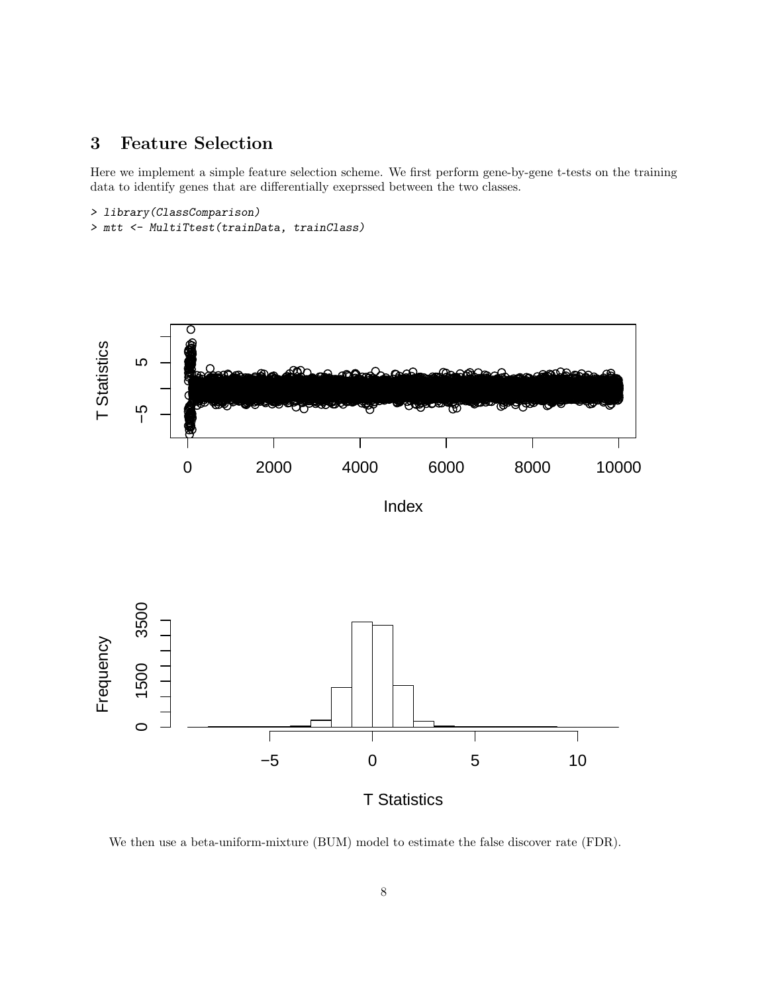#### <span id="page-7-0"></span>**Feature Selection**  $\overline{\mathbf{3}}$

Here we implement a simple feature selection scheme. We first perform gene-by-gene t-tests on the training data to identify genes that are differentially exeprssed between the two classes.

#### > library(ClassComparison)

```
> mtt <- MultiTtest(trainData, trainClass)
```


We then use a beta-uniform-mixture (BUM) model to estimate the false discover rate (FDR).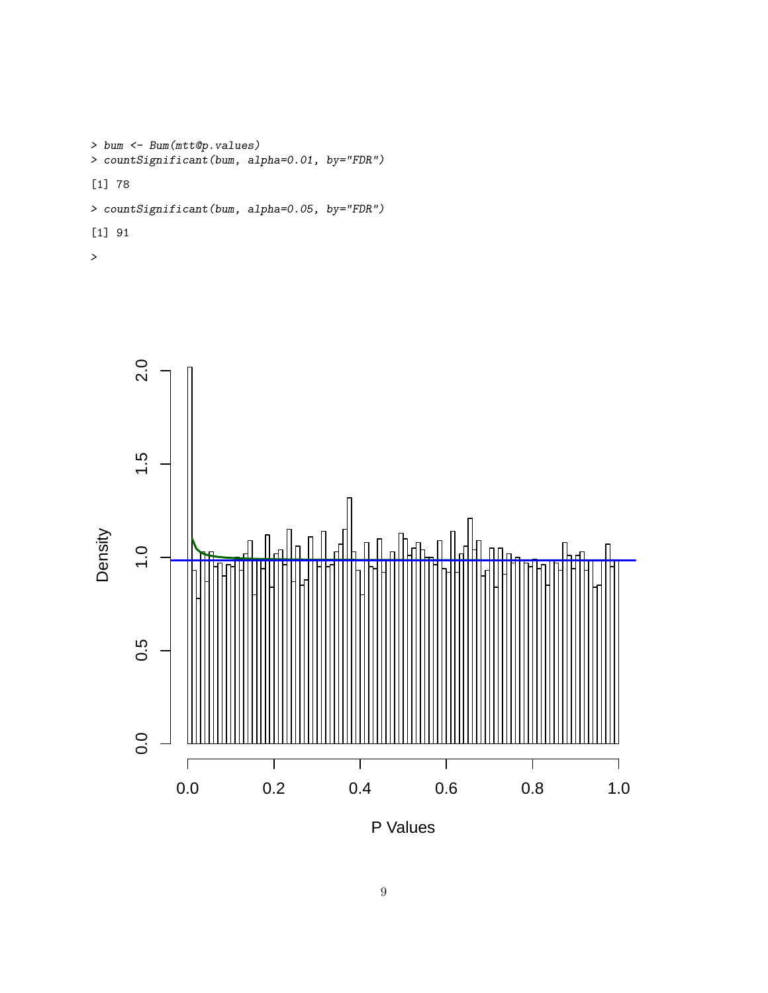```
> bum <- Bum(mtt@p.values)
> countSignificant(bum, alpha=0.01, by="FDR")
[1] 78
> countSignificant(bum, alpha=0.05, by="FDR")
```
[1] 91





P Values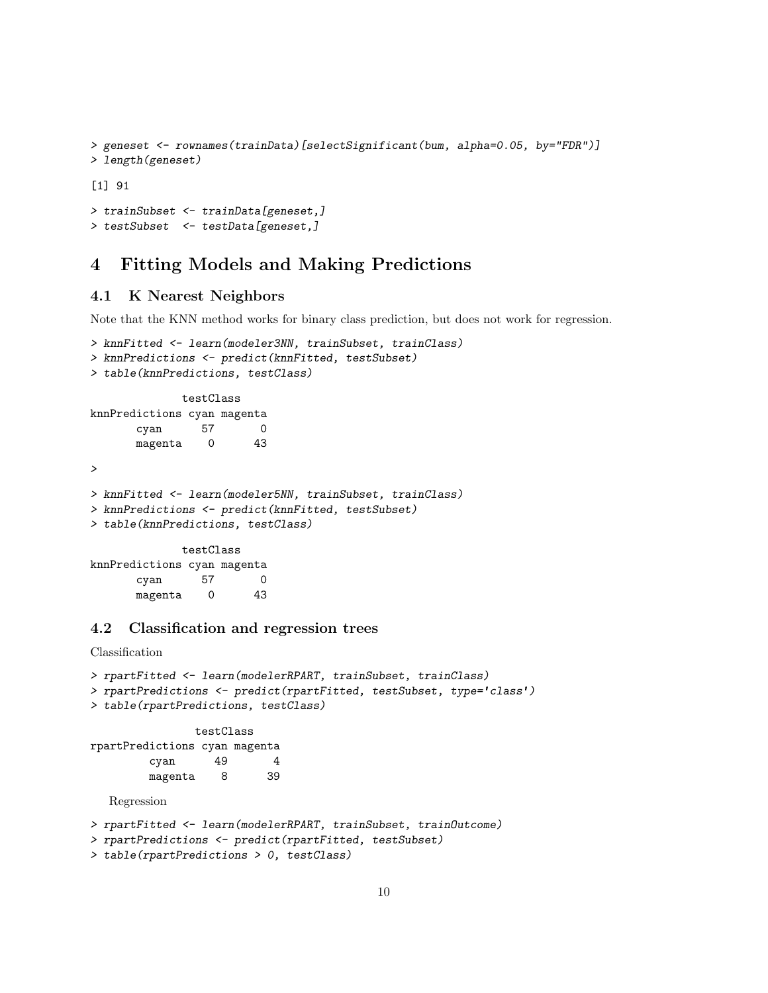```
> geneset <- rownames(trainData)[selectSignificant(bum, alpha=0.05, by="FDR")]
> length(geneset)
[1] 91
```

```
> trainSubset <- trainData[geneset,]
> testSubset <- testData[geneset,]
```
# <span id="page-9-0"></span>4 Fitting Models and Making Predictions

#### <span id="page-9-1"></span>4.1 K Nearest Neighbors

Note that the KNN method works for binary class prediction, but does not work for regression.

```
> knnFitted <- learn(modeler3NN, trainSubset, trainClass)
> knnPredictions <- predict(knnFitted, testSubset)
> table(knnPredictions, testClass)
            testClass
knnPredictions cyan magenta
      cyan 57 0
      magenta 0 43
>
> knnFitted <- learn(modeler5NN, trainSubset, trainClass)
> knnPredictions <- predict(knnFitted, testSubset)
> table(knnPredictions, testClass)
             testClass
knnPredictions cyan magenta
      cyan 57 0
      magenta 0 43
```
### <span id="page-9-2"></span>4.2 Classification and regression trees

```
> rpartFitted <- learn(modelerRPART, trainSubset, trainClass)
> rpartPredictions <- predict(rpartFitted, testSubset, type='class')
> table(rpartPredictions, testClass)
               testClass
rpartPredictions cyan magenta
        cyan 49 4
        magenta 8 39
  Regression
> rpartFitted <- learn(modelerRPART, trainSubset, trainOutcome)
> rpartPredictions <- predict(rpartFitted, testSubset)
> table(rpartPredictions > 0, testClass)
```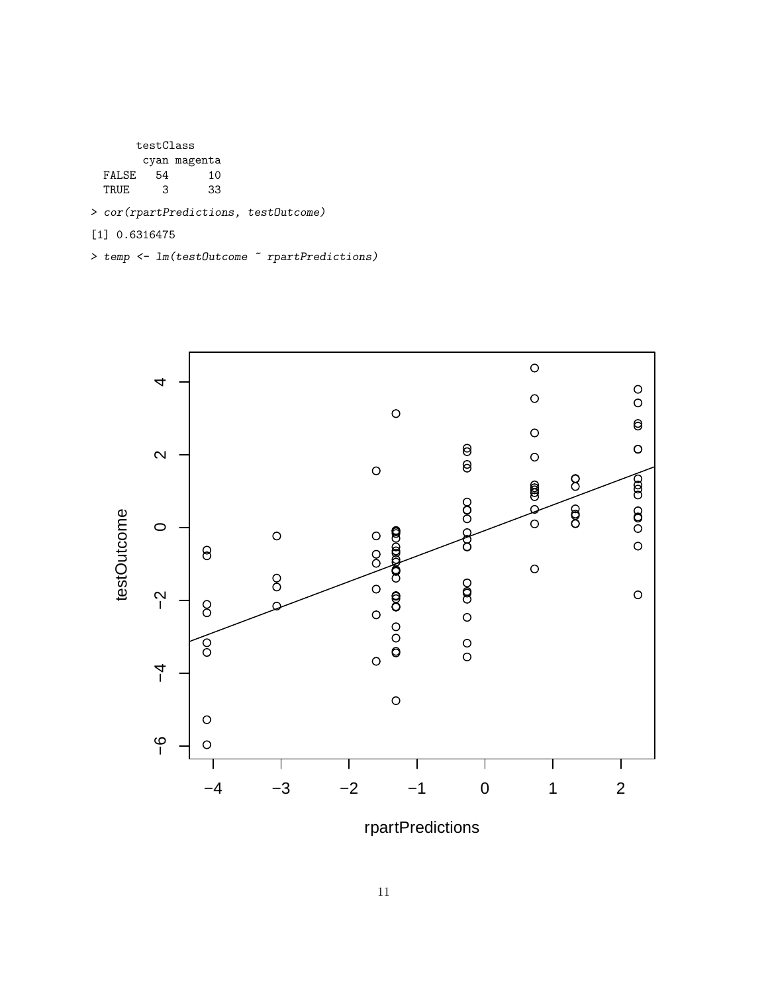testClass cyan magenta FALSE 54 10 TRUE 3 33

> cor(rpartPredictions, testOutcome)

[1] 0.6316475

> temp <- lm(testOutcome ~ rpartPredictions)



rpartPredictions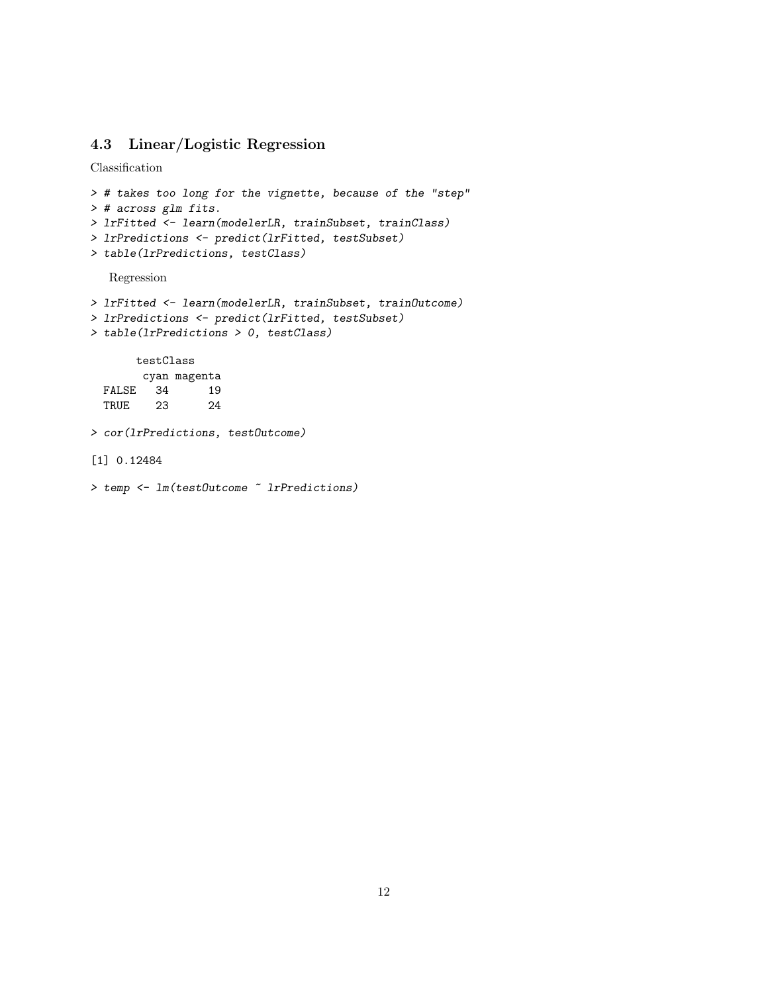### <span id="page-11-0"></span>4.3 Linear/Logistic Regression

Classification

```
> # takes too long for the vignette, because of the "step"
> # across glm fits.
> lrFitted <- learn(modelerLR, trainSubset, trainClass)
> lrPredictions <- predict(lrFitted, testSubset)
> table(lrPredictions, testClass)
```
Regression

```
> lrFitted <- learn(modelerLR, trainSubset, trainOutcome)
> lrPredictions <- predict(lrFitted, testSubset)
> table(lrPredictions > 0, testClass)
      testClass
       cyan magenta
  FALSE 34 19<br>TRUE 23 24
 TRUE 23 24
> cor(lrPredictions, testOutcome)
[1] 0.12484
> temp <- lm(testOutcome ~ lrPredictions)
```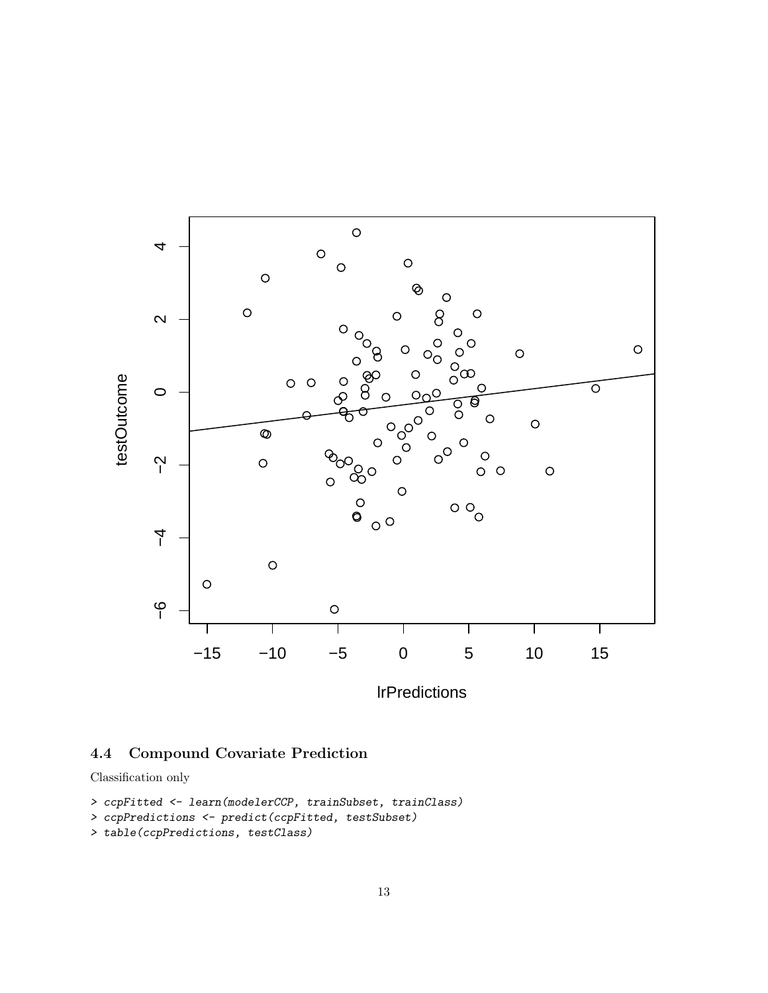

lrPredictions

# <span id="page-12-0"></span>4.4 Compound Covariate Prediction

Classification only

```
> ccpFitted <- learn(modelerCCP, trainSubset, trainClass)
```

```
> ccpPredictions <- predict(ccpFitted, testSubset)
```

```
> table(ccpPredictions, testClass)
```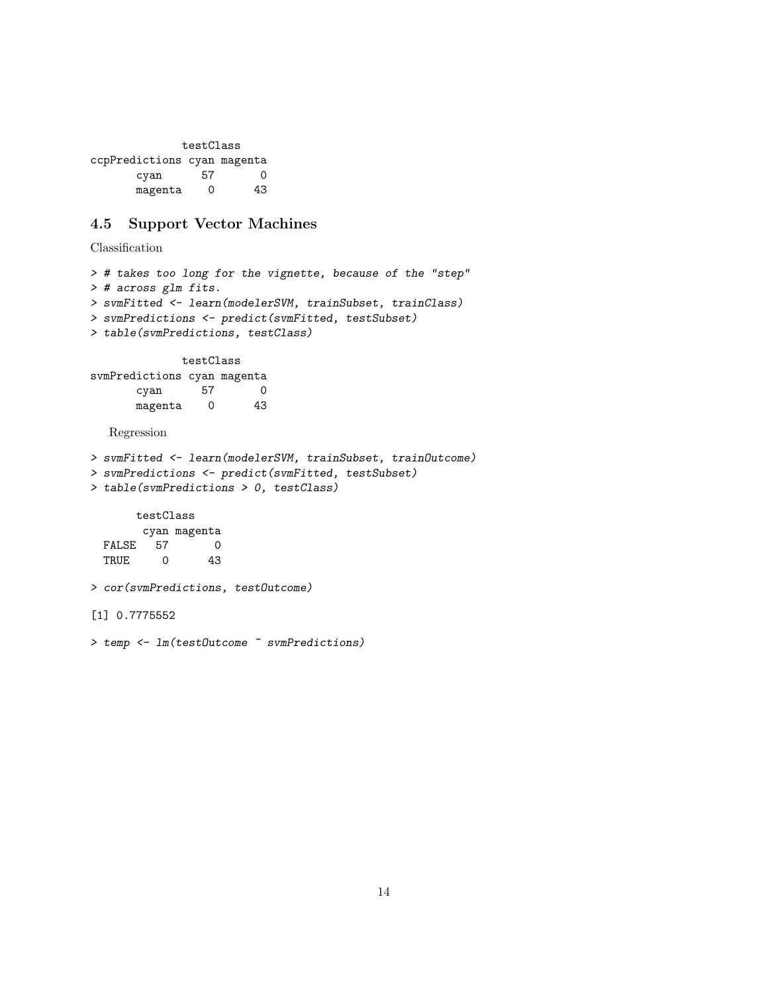testClass ccpPredictions cyan magenta cyan 57 0 magenta 0 43

# <span id="page-13-0"></span>4.5 Support Vector Machines

```
> # takes too long for the vignette, because of the "step"
> # across glm fits.
> svmFitted <- learn(modelerSVM, trainSubset, trainClass)
> svmPredictions <- predict(svmFitted, testSubset)
> table(svmPredictions, testClass)
             testClass
svmPredictions cyan magenta
      cyan 57 0
      magenta 0 43
  Regression
> svmFitted <- learn(modelerSVM, trainSubset, trainOutcome)
> svmPredictions <- predict(svmFitted, testSubset)
> table(svmPredictions > 0, testClass)
      testClass
       cyan magenta
 FALSE 57 0
 TRUE 0 43
> cor(svmPredictions, testOutcome)
[1] 0.7775552
> temp <- lm(testOutcome ~ svmPredictions)
```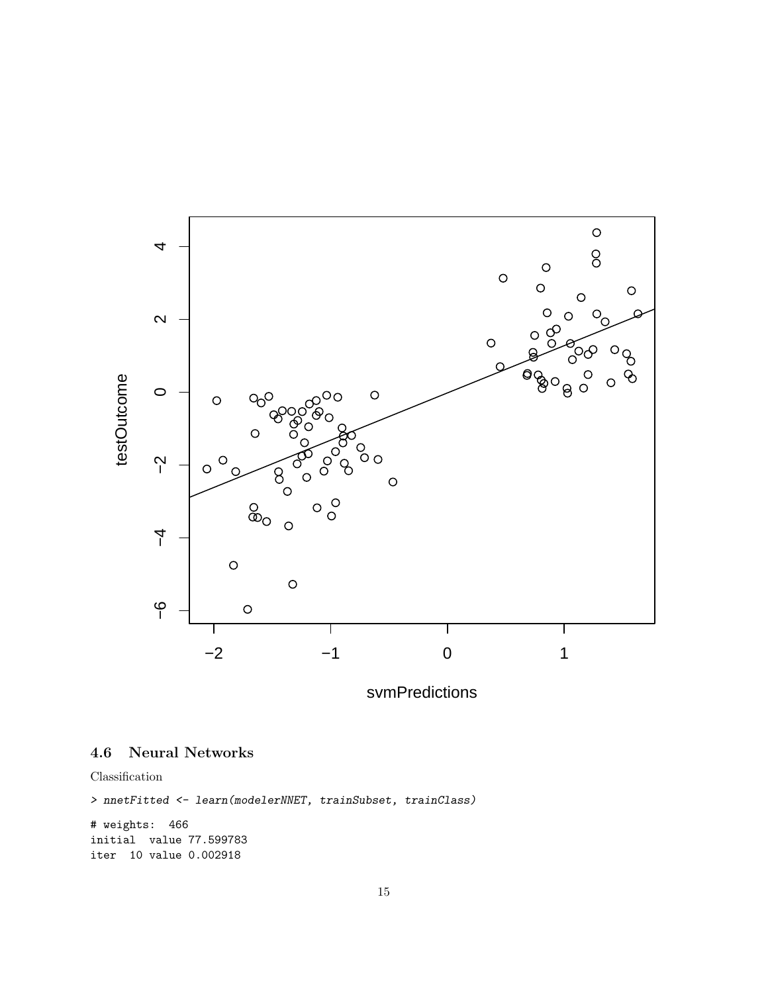

svmPredictions

### <span id="page-14-0"></span>4.6 Neural Networks

```
> nnetFitted <- learn(modelerNNET, trainSubset, trainClass)
```

```
# weights: 466
initial value 77.599783
iter 10 value 0.002918
```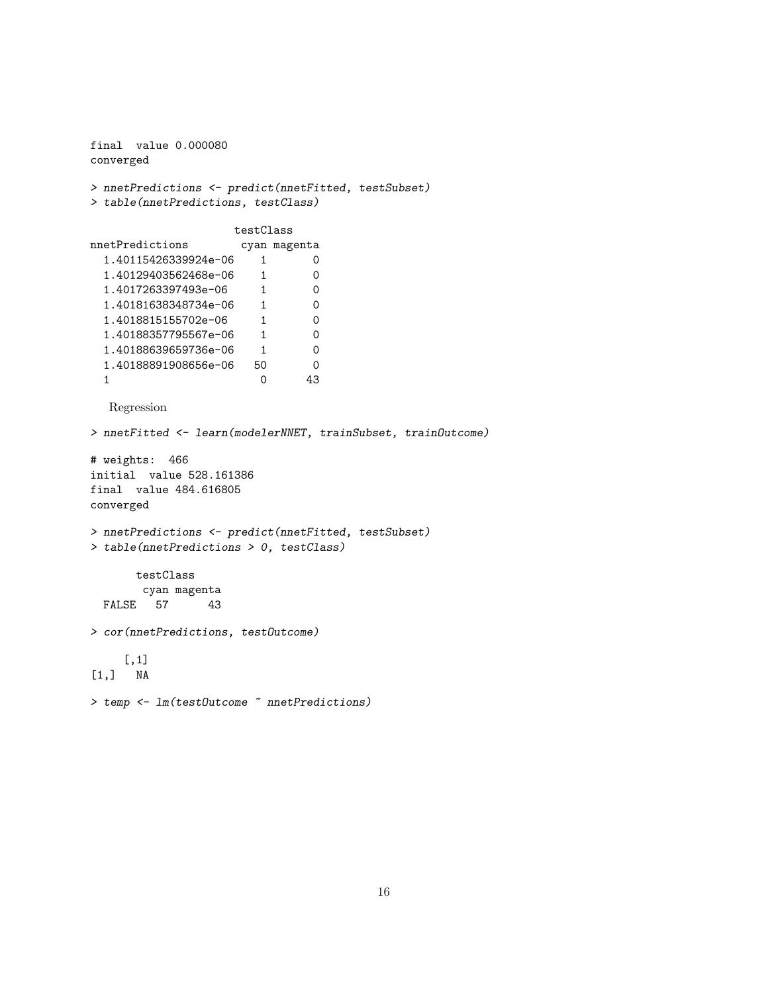```
final value 0.000080
converged
> nnetPredictions <- predict(nnetFitted, testSubset)
> table(nnetPredictions, testClass)
                    testClass
nnetPredictions cyan magenta
 1.40115426339924e-06 1 0
 1.40129403562468e-06 1 0
 1.4017263397493e-06 1 0
 1.40181638348734e-06 1 0<br>1.4018815155702e-06 1 0
 1.4018815155702e-06 1 0
 1.40188357795567e-06 1 0
 1.40188639659736e-06 1 0
 1.40188891908656e-06 50 0
 1.40188891908656e-06 50 0<br>1 0 43
  Regression
> nnetFitted <- learn(modelerNNET, trainSubset, trainOutcome)
# weights: 466
initial value 528.161386
final value 484.616805
converged
> nnetPredictions <- predict(nnetFitted, testSubset)
> table(nnetPredictions > 0, testClass)
      testClass
       cyan magenta
 FALSE 57 43
> cor(nnetPredictions, testOutcome)
    [,1]
[1,] NA
> temp <- lm(testOutcome ~ nnetPredictions)
```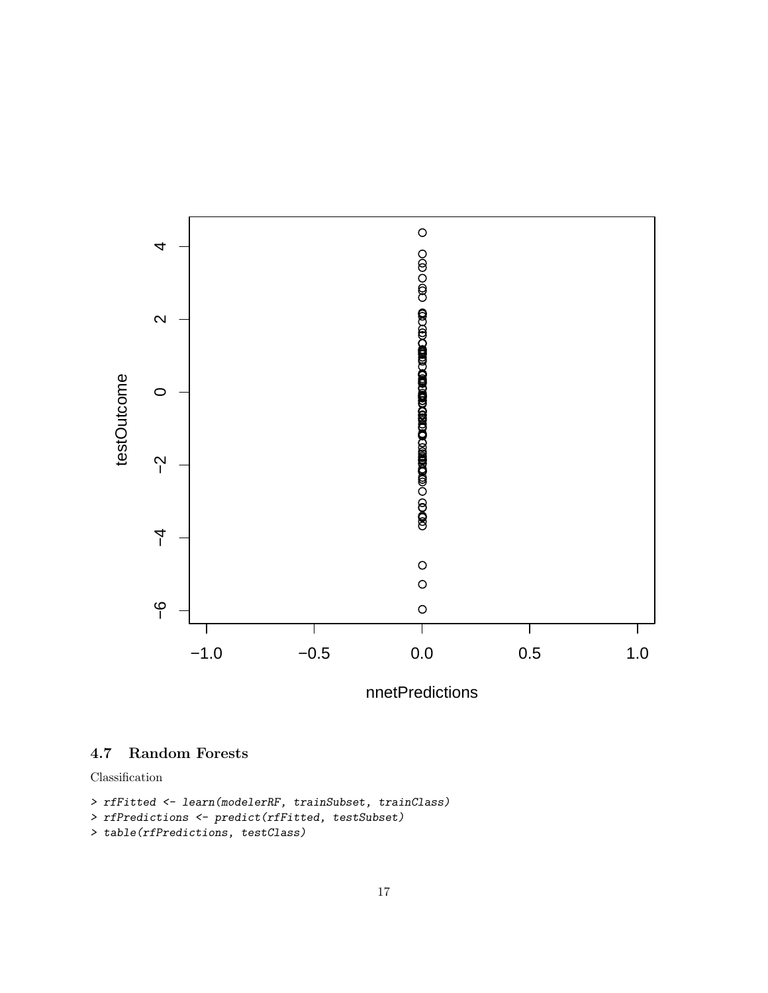

nnetPredictions

### <span id="page-16-0"></span>4.7 Random Forests

```
> rfFitted <- learn(modelerRF, trainSubset, trainClass)
```

```
> rfPredictions <- predict(rfFitted, testSubset)
```

```
> table(rfPredictions, testClass)
```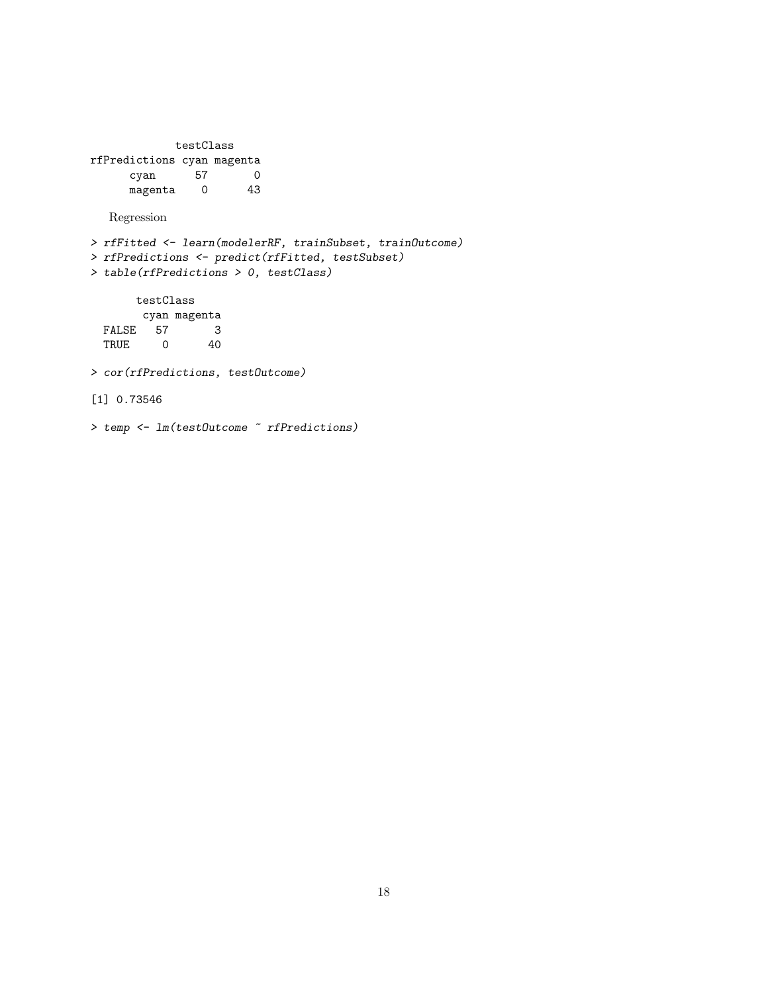testClass rfPredictions cyan magenta cyan 57 0 magenta 0 43 Regression > rfFitted <- learn(modelerRF, trainSubset, trainOutcome) > rfPredictions <- predict(rfFitted, testSubset) > table(rfPredictions > 0, testClass) testClass cyan magenta FALSE 57 3 TRUE 0 40 > cor(rfPredictions, testOutcome) [1] 0.73546 > temp <- lm(testOutcome ~ rfPredictions)